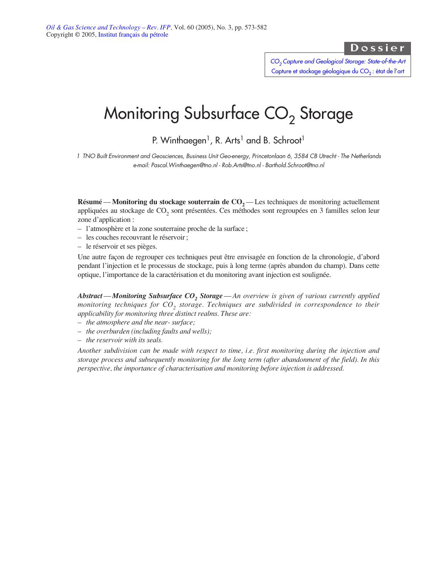# Dossier

*[CO2 Capture and Geological Storage: State-of-the-Art](http://ogst.ifp.fr/index.php?option=toc&url=/articles/ogst/abs/2005/03/contents/contents.html)* Capture et stockage géologique du CO<sub>2</sub> : état de l'art

# Monitoring Subsurface  $CO<sub>2</sub>$  Storage

P. Winthaegen<sup>1</sup>, R. Arts<sup>1</sup> and B. Schroot<sup>1</sup>

*1 TNO Built Environment and Geosciences, Business Unit Geo-energy, Princetonlaan 6, 3584 CB Utrecht - The Netherlands e-mail: Pascal.Winthaegen@tno.nl - Rob.Arts@tno.nl - Barthold.Schroot@tno.nl*

**Résumé** — **Monitoring du stockage souterrain de**  $CO<sub>2</sub>$  — Les techniques de monitoring actuellement appliquées au stockage de CO<sub>2</sub> sont présentées. Ces méthodes sont regroupées en 3 familles selon leur zone d'application :

- l'atmosphère et la zone souterraine proche de la surface ;
- les couches recouvrant le réservoir ;
- le réservoir et ses pièges.

Une autre façon de regrouper ces techniques peut être envisagée en fonction de la chronologie, d'abord pendant l'injection et le processus de stockage, puis à long terme (après abandon du champ). Dans cette optique, l'importance de la caractérisation et du monitoring avant injection est soulignée.

*Abstract—Monitoring Subsurface CO<sub>2</sub> Storage—An overview is given of various currently applied monitoring techniques for CO<sub>2</sub> storage. Techniques are subdivided in correspondence to their applicability for monitoring three distinct realms. These are:*

- *– the atmosphere and the near- surface;*
- *– the overburden (including faults and wells);*
- *– the reservoir with its seals.*

*Another subdivision can be made with respect to time, i.e. first monitoring during the injection and storage process and subsequently monitoring for the long term (after abandonment of the field). In this perspective, the importance of characterisation and monitoring before injection is addressed.*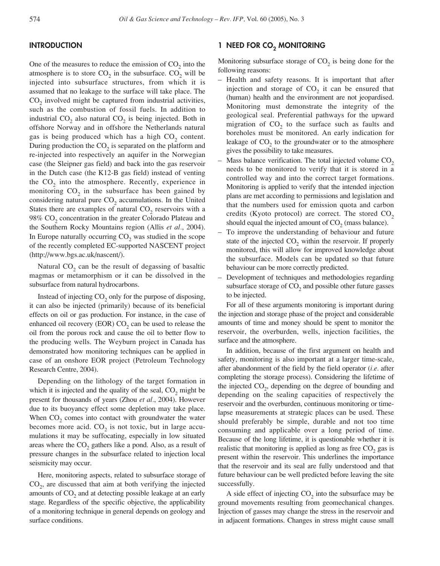# **INTRODUCTION**

One of the measures to reduce the emission of  $CO<sub>2</sub>$  into the atmosphere is to store  $CO_2$  in the subsurface.  $CO_2$  will be injected into subsurface structures, from which it is assumed that no leakage to the surface will take place. The CO<sub>2</sub> involved might be captured from industrial activities, such as the combustion of fossil fuels. In addition to industrial  $CO<sub>2</sub>$  also natural  $CO<sub>2</sub>$  is being injected. Both in offshore Norway and in offshore the Netherlands natural gas is being produced which has a high  $CO<sub>2</sub>$  content. During production the  $CO<sub>2</sub>$  is separated on the platform and re-injected into respectively an aquifer in the Norwegian case (the Sleipner gas field) and back into the gas reservoir in the Dutch case (the K12-B gas field) instead of venting the  $CO<sub>2</sub>$  into the atmosphere. Recently, experience in monitoring  $CO<sub>2</sub>$  in the subsurface has been gained by considering natural pure  $CO<sub>2</sub>$  accumulations. In the United States there are examples of natural  $CO<sub>2</sub>$  reservoirs with a  $98\%$  CO<sub>2</sub> concentration in the greater Colorado Plateau and the Southern Rocky Mountains region (Allis *et al.*, 2004). In Europe naturally occurring CO<sub>2</sub> was studied in the scope of the recently completed EC-supported NASCENT project (http://www.bgs.ac.uk/nascent/).

Natural  $CO<sub>2</sub>$  can be the result of degassing of basaltic magmas or metamorphism or it can be dissolved in the subsurface from natural hydrocarbons.

Instead of injecting  $CO<sub>2</sub>$  only for the purpose of disposing, it can also be injected (primarily) because of its beneficial effects on oil or gas production. For instance, in the case of enhanced oil recovery (EOR)  $CO<sub>2</sub>$  can be used to release the oil from the porous rock and cause the oil to better flow to the producing wells. The Weyburn project in Canada has demonstrated how monitoring techniques can be applied in case of an onshore EOR project (Petroleum Technology Research Centre, 2004).

Depending on the lithology of the target formation in which it is injected and the quality of the seal,  $CO<sub>2</sub>$  might be present for thousands of years (Zhou *et al.*, 2004). However due to its buoyancy effect some depletion may take place. When CO<sub>2</sub> comes into contact with groundwater the water becomes more acid.  $CO<sub>2</sub>$  is not toxic, but in large accumulations it may be suffocating, especially in low situated areas where the  $CO<sub>2</sub>$  gathers like a pond. Also, as a result of pressure changes in the subsurface related to injection local seismicity may occur.

Here, monitoring aspects, related to subsurface storage of  $CO<sub>2</sub>$ , are discussed that aim at both verifying the injected amounts of  $CO<sub>2</sub>$  and at detecting possible leakage at an early stage. Regardless of the specific objective, the applicability of a monitoring technique in general depends on geology and surface conditions.

# **1 NEED FOR CO<sub>2</sub> MONITORING**

Monitoring subsurface storage of  $CO<sub>2</sub>$  is being done for the following reasons:

- Health and safety reasons. It is important that after injection and storage of  $CO<sub>2</sub>$  it can be ensured that (human) health and the environment are not jeopardised. Monitoring must demonstrate the integrity of the geological seal. Preferential pathways for the upward migration of  $CO<sub>2</sub>$  to the surface such as faults and boreholes must be monitored. An early indication for leakage of  $CO<sub>2</sub>$  to the groundwater or to the atmosphere gives the possibility to take measures.
- Mass balance verification. The total injected volume  $CO<sub>2</sub>$ needs to be monitored to verify that it is stored in a controlled way and into the correct target formations. Monitoring is applied to verify that the intended injection plans are met according to permissions and legislation and that the numbers used for emission quota and carbon credits (Kyoto protocol) are correct. The stored  $CO<sub>2</sub>$ should equal the injected amount of  $CO<sub>2</sub>$  (mass balance).
- To improve the understanding of behaviour and future state of the injected  $CO<sub>2</sub>$  within the reservoir. If properly monitored, this will allow for improved knowledge about the subsurface. Models can be updated so that future behaviour can be more correctly predicted.
- Development of techniques and methodologies regarding subsurface storage of  $CO<sub>2</sub>$  and possible other future gasses to be injected.

For all of these arguments monitoring is important during the injection and storage phase of the project and considerable amounts of time and money should be spent to monitor the reservoir, the overburden, wells, injection facilities, the surface and the atmosphere.

In addition, because of the first argument on health and safety, monitoring is also important at a larger time-scale, after abandonment of the field by the field operator (*i.e.* after completing the storage process). Considering the lifetime of the injected CO<sub>2</sub>, depending on the degree of bounding and depending on the sealing capacities of respectively the reservoir and the overburden, continuous monitoring or timelapse measurements at strategic places can be used. These should preferably be simple, durable and not too time consuming and applicable over a long period of time. Because of the long lifetime, it is questionable whether it is realistic that monitoring is applied as long as free  $CO<sub>2</sub>$  gas is present within the reservoir. This underlines the importance that the reservoir and its seal are fully understood and that future behaviour can be well predicted before leaving the site successfully.

A side effect of injecting  $CO<sub>2</sub>$  into the subsurface may be ground movements resulting from geomechanical changes. Injection of gasses may change the stress in the reservoir and in adjacent formations. Changes in stress might cause small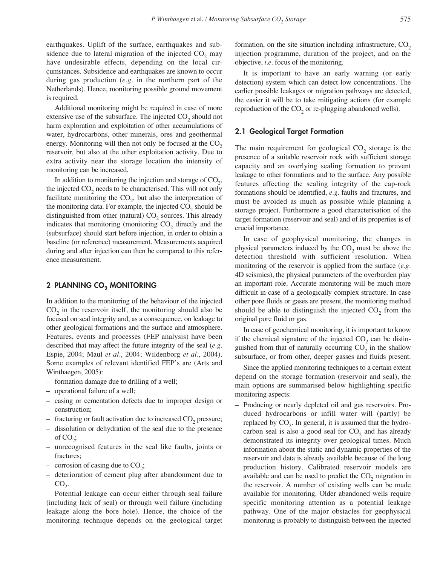earthquakes. Uplift of the surface, earthquakes and subsidence due to lateral migration of the injected  $CO<sub>2</sub>$  may have undesirable effects, depending on the local circumstances. Subsidence and earthquakes are known to occur during gas production (*e.g.* in the northern part of the Netherlands). Hence, monitoring possible ground movement is required.

Additional monitoring might be required in case of more extensive use of the subsurface. The injected  $CO<sub>2</sub>$  should not harm exploration and exploitation of other accumulations of water, hydrocarbons, other minerals, ores and geothermal energy. Monitoring will then not only be focused at the  $CO<sub>2</sub>$ reservoir, but also at the other exploitation activity. Due to extra activity near the storage location the intensity of monitoring can be increased.

In addition to monitoring the injection and storage of  $CO<sub>2</sub>$ , the injected  $CO<sub>2</sub>$  needs to be characterised. This will not only facilitate monitoring the  $CO<sub>2</sub>$ , but also the interpretation of the monitoring data. For example, the injected  $CO<sub>2</sub>$  should be distinguished from other (natural)  $CO<sub>2</sub>$  sources. This already indicates that monitoring (monitoring  $CO<sub>2</sub>$  directly and the (subsurface) should start before injection, in order to obtain a baseline (or reference) measurement. Measurements acquired during and after injection can then be compared to this reference measurement.

# **2 PLANNING CO<sub>2</sub> MONITORING**

In addition to the monitoring of the behaviour of the injected  $CO<sub>2</sub>$  in the reservoir itself, the monitoring should also be focused on seal integrity and, as a consequence, on leakage to other geological formations and the surface and atmosphere. Features, events and processes (FEP analysis) have been described that may affect the future integrity of the seal (*e.g.* Espie, 2004; Maul *et al.*, 2004; Wildenborg *et al.*, 2004). Some examples of relevant identified FEP's are (Arts and Winthaegen, 2005):

- formation damage due to drilling of a well;
- operational failure of a well;
- casing or cementation defects due to improper design or construction;
- $-$  fracturing or fault activation due to increased  $CO<sub>2</sub>$  pressure;
- dissolution or dehydration of the seal due to the presence of  $CO<sub>2</sub>$ ;
- unrecognised features in the seal like faults, joints or fractures;
- corrosion of casing due to  $CO<sub>2</sub>$ ;
- deterioration of cement plug after abandonment due to  $CO_{2}$ .

Potential leakage can occur either through seal failure (including lack of seal) or through well failure (including leakage along the bore hole). Hence, the choice of the monitoring technique depends on the geological target formation, on the site situation including infrastructure,  $CO<sub>2</sub>$ injection programme, duration of the project, and on the objective, *i.e.* focus of the monitoring.

It is important to have an early warning (or early detection) system which can detect low concentrations. The earlier possible leakages or migration pathways are detected, the easier it will be to take mitigating actions (for example reproduction of the  $CO<sub>2</sub>$  or re-plugging abandoned wells).

### **2.1 Geological Target Formation**

The main requirement for geological  $CO<sub>2</sub>$  storage is the presence of a suitable reservoir rock with sufficient storage capacity and an overlying sealing formation to prevent leakage to other formations and to the surface. Any possible features affecting the sealing integrity of the cap-rock formations should be identified, *e.g.* faults and fractures, and must be avoided as much as possible while planning a storage project. Furthermore a good characterisation of the target formation (reservoir and seal) and of its properties is of crucial importance.

In case of geophysical monitoring, the changes in physical parameters induced by the  $CO<sub>2</sub>$  must be above the detection threshold with sufficient resolution. When monitoring of the reservoir is applied from the surface (*e.g.* 4D seismics), the physical parameters of the overburden play an important role. Accurate monitoring will be much more difficult in case of a geologically complex structure. In case other pore fluids or gases are present, the monitoring method should be able to distinguish the injected  $CO<sub>2</sub>$  from the original pore fluid or gas.

In case of geochemical monitoring, it is important to know if the chemical signature of the injected  $CO<sub>2</sub>$  can be distinguished from that of naturally occurring  $CO<sub>2</sub>$  in the shallow subsurface, or from other, deeper gasses and fluids present.

Since the applied monitoring techniques to a certain extent depend on the storage formation (reservoir and seal), the main options are summarised below highlighting specific monitoring aspects:

– Producing or nearly depleted oil and gas reservoirs. Produced hydrocarbons or infill water will (partly) be replaced by  $CO<sub>2</sub>$ . In general, it is assumed that the hydrocarbon seal is also a good seal for  $CO<sub>2</sub>$  and has already demonstrated its integrity over geological times. Much information about the static and dynamic properties of the reservoir and data is already available because of the long production history. Calibrated reservoir models are available and can be used to predict the  $CO<sub>2</sub>$  migration in the reservoir. A number of existing wells can be made available for monitoring. Older abandoned wells require specific monitoring attention as a potential leakage pathway. One of the major obstacles for geophysical monitoring is probably to distinguish between the injected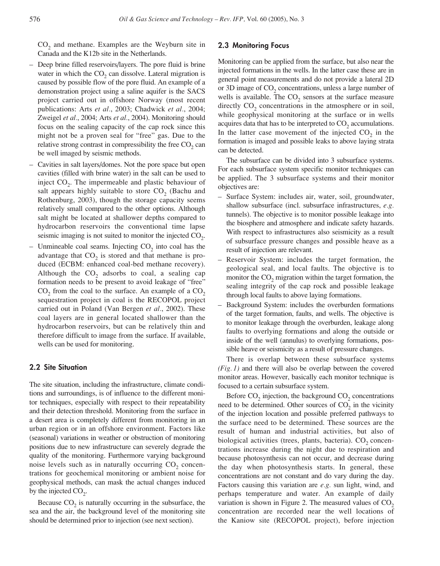$CO<sub>2</sub>$  and methane. Examples are the Weyburn site in Canada and the K12b site in the Netherlands.

- Deep brine filled reservoirs/layers. The pore fluid is brine water in which the  $CO<sub>2</sub>$  can dissolve. Lateral migration is caused by possible flow of the pore fluid. An example of a demonstration project using a saline aquifer is the SACS project carried out in offshore Norway (most recent publications: Arts *et al.*, 2003; Chadwick *et al.*, 2004; Zweigel *et al.*, 2004; Arts *et al.*, 2004). Monitoring should focus on the sealing capacity of the cap rock since this might not be a proven seal for "free" gas. Due to the relative strong contrast in compressibility the free  $CO<sub>2</sub>$  can be well imaged by seismic methods.
- Cavities in salt layers/domes. Not the pore space but open cavities (filled with brine water) in the salt can be used to inject  $CO<sub>2</sub>$ . The impermeable and plastic behaviour of salt appears highly suitable to store  $CO<sub>2</sub>$  (Bachu and Rothenburg, 2003), though the storage capacity seems relatively small compared to the other options. Although salt might be located at shallower depths compared to hydrocarbon reservoirs the conventional time lapse seismic imaging is not suited to monitor the injected  $CO<sub>2</sub>$ .
- Unmineable coal seams. Injecting  $CO_2$  into coal has the advantage that  $CO<sub>2</sub>$  is stored and that methane is produced (ECBM: enhanced coal-bed methane recovery). Although the  $CO<sub>2</sub>$  adsorbs to coal, a sealing cap formation needs to be present to avoid leakage of "free"  $CO<sub>2</sub>$  from the coal to the surface. An example of a  $CO<sub>2</sub>$ sequestration project in coal is the RECOPOL project carried out in Poland (Van Bergen *et al.*, 2002). These coal layers are in general located shallower than the hydrocarbon reservoirs, but can be relatively thin and therefore difficult to image from the surface. If available, wells can be used for monitoring.

#### **2.2 Site Situation**

The site situation, including the infrastructure, climate conditions and surroundings, is of influence to the different monitor techniques, especially with respect to their repeatability and their detection threshold. Monitoring from the surface in a desert area is completely different from monitoring in an urban region or in an offshore environment. Factors like (seasonal) variations in weather or obstruction of monitoring positions due to new infrastructure can severely degrade the quality of the monitoring. Furthermore varying background noise levels such as in naturally occurring  $CO<sub>2</sub>$  concentrations for geochemical monitoring or ambient noise for geophysical methods, can mask the actual changes induced by the injected  $CO<sub>2</sub>$ .

Because  $CO<sub>2</sub>$  is naturally occurring in the subsurface, the sea and the air, the background level of the monitoring site should be determined prior to injection (see next section).

#### **2.3 Monitoring Focus**

Monitoring can be applied from the surface, but also near the injected formations in the wells. In the latter case these are in general point measurements and do not provide a lateral 2D or 3D image of CO<sub>2</sub> concentrations, unless a large number of wells is available. The  $CO<sub>2</sub>$  sensors at the surface measure directly  $CO<sub>2</sub>$  concentrations in the atmosphere or in soil, while geophysical monitoring at the surface or in wells acquires data that has to be interpreted to  $CO<sub>2</sub>$  accumulations. In the latter case movement of the injected  $CO<sub>2</sub>$  in the formation is imaged and possible leaks to above laying strata can be detected.

The subsurface can be divided into 3 subsurface systems. For each subsurface system specific monitor techniques can be applied. The 3 subsurface systems and their monitor objectives are:

- Surface System: includes air, water, soil, groundwater, shallow subsurface (incl. subsurface infrastructures, *e.g.* tunnels). The objective is to monitor possible leakage into the biosphere and atmosphere and indicate safety hazards. With respect to infrastructures also seismicity as a result of subsurface pressure changes and possible heave as a result of injection are relevant.
- Reservoir System: includes the target formation, the geological seal, and local faults. The objective is to monitor the  $CO<sub>2</sub>$  migration within the target formation, the sealing integrity of the cap rock and possible leakage through local faults to above laying formations.
- Background System: includes the overburden formations of the target formation, faults, and wells. The objective is to monitor leakage through the overburden, leakage along faults to overlying formations and along the outside or inside of the well (annulus) to overlying formations, possible heave or seismicity as a result of pressure changes.

There is overlap between these subsurface systems *(Fig. 1)* and there will also be overlap between the covered monitor areas. However, basically each monitor technique is focused to a certain subsurface system.

Before  $CO<sub>2</sub>$  injection, the background  $CO<sub>2</sub>$  concentrations need to be determined. Other sources of  $CO<sub>2</sub>$  in the vicinity of the injection location and possible preferred pathways to the surface need to be determined. These sources are the result of human and industrial activities, but also of biological activities (trees, plants, bacteria).  $CO<sub>2</sub>$  concentrations increase during the night due to respiration and because photosynthesis can not occur, and decrease during the day when photosynthesis starts. In general, these concentrations are not constant and do vary during the day. Factors causing this variation are *e.g.* sun light, wind, and perhaps temperature and water. An example of daily variation is shown in Figure 2. The measured values of  $CO<sub>2</sub>$ concentration are recorded near the well locations of the Kaniow site (RECOPOL project), before injection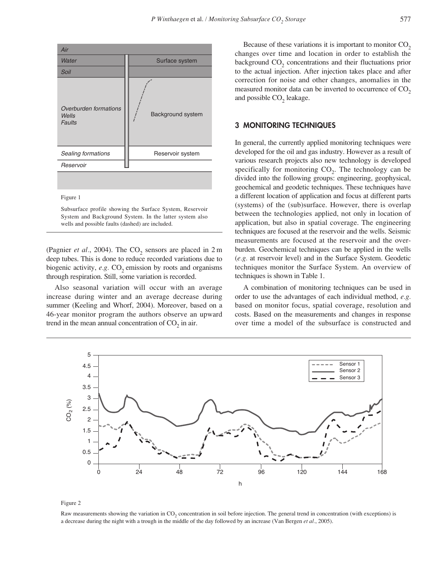| Air                                             |                   |  |
|-------------------------------------------------|-------------------|--|
| Water                                           | Surface system    |  |
| Soil                                            |                   |  |
| Overburden formations<br>Wells<br><b>Faults</b> | Background system |  |
| Sealing formations                              | Reservoir system  |  |
| Reservoir                                       |                   |  |
|                                                 |                   |  |

Figure 1

Subsurface profile showing the Surface System, Reservoir System and Background System. In the latter system also wells and possible faults (dashed) are included.

(Pagnier *et al.*, 2004). The  $CO_2$  sensors are placed in 2 m deep tubes. This is done to reduce recorded variations due to biogenic activity,  $e.g. CO<sub>2</sub>$  emission by roots and organisms through respiration. Still, some variation is recorded.

Also seasonal variation will occur with an average increase during winter and an average decrease during summer (Keeling and Whorf, 2004). Moreover, based on a 46-year monitor program the authors observe an upward trend in the mean annual concentration of  $CO<sub>2</sub>$  in air.

Because of these variations it is important to monitor  $CO<sub>2</sub>$ changes over time and location in order to establish the background  $CO<sub>2</sub>$  concentrations and their fluctuations prior to the actual injection. After injection takes place and after correction for noise and other changes, anomalies in the measured monitor data can be inverted to occurrence of  $CO<sub>2</sub>$ and possible  $CO<sub>2</sub>$  leakage.

## **3 MONITORING TECHNIQUES**

In general, the currently applied monitoring techniques were developed for the oil and gas industry. However as a result of various research projects also new technology is developed specifically for monitoring  $CO<sub>2</sub>$ . The technology can be divided into the following groups: engineering, geophysical, geochemical and geodetic techniques. These techniques have a different location of application and focus at different parts (systems) of the (sub)surface. However, there is overlap between the technologies applied, not only in location of application, but also in spatial coverage. The engineering techniques are focused at the reservoir and the wells. Seismic measurements are focused at the reservoir and the overburden. Geochemical techniques can be applied in the wells (*e.g.* at reservoir level) and in the Surface System. Geodetic techniques monitor the Surface System. An overview of techniques is shown in Table 1.

A combination of monitoring techniques can be used in order to use the advantages of each individual method, *e.g.* based on monitor focus, spatial coverage, resolution and costs. Based on the measurements and changes in response over time a model of the subsurface is constructed and



Figure 2

Raw measurements showing the variation in CO<sub>2</sub> concentration in soil before injection. The general trend in concentration (with exceptions) is a decrease during the night with a trough in the middle of the day followed by an increase (Van Bergen *et al.*, 2005).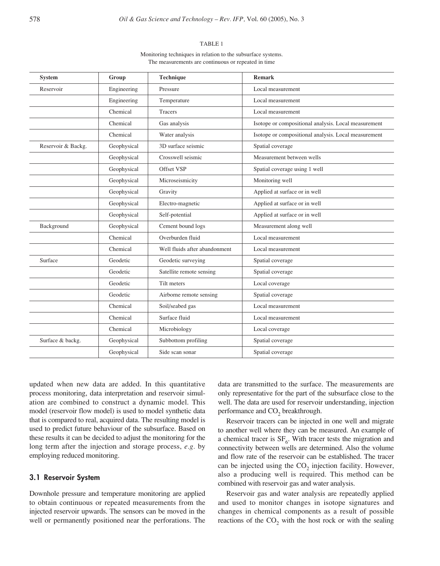#### TABLE 1

Monitoring techniques in relation to the subsurface systems. The measurements are continuous or repeated in time

| <b>System</b>      | Group       | <b>Technique</b>              | <b>Remark</b>                                        |
|--------------------|-------------|-------------------------------|------------------------------------------------------|
| Reservoir          | Engineering | Pressure                      | Local measurement                                    |
|                    | Engineering | Temperature                   | Local measurement                                    |
|                    | Chemical    | <b>Tracers</b>                | Local measurement                                    |
|                    | Chemical    | Gas analysis                  | Isotope or compositional analysis. Local measurement |
|                    | Chemical    | Water analysis                | Isotope or compositional analysis. Local measurement |
| Reservoir & Backg. | Geophysical | 3D surface seismic            | Spatial coverage                                     |
|                    | Geophysical | Crosswell seismic             | Measurement between wells                            |
|                    | Geophysical | Offset VSP                    | Spatial coverage using 1 well                        |
|                    | Geophysical | Microseismicity               | Monitoring well                                      |
|                    | Geophysical | Gravity                       | Applied at surface or in well                        |
|                    | Geophysical | Electro-magnetic              | Applied at surface or in well                        |
|                    | Geophysical | Self-potential                | Applied at surface or in well                        |
| Background         | Geophysical | Cement bound logs             | Measurement along well                               |
|                    | Chemical    | Overburden fluid              | Local measurement                                    |
|                    | Chemical    | Well fluids after abandonment | Local measurement                                    |
| Surface            | Geodetic    | Geodetic surveying            | Spatial coverage                                     |
|                    | Geodetic    | Satellite remote sensing      | Spatial coverage                                     |
|                    | Geodetic    | Tilt meters                   | Local coverage                                       |
|                    | Geodetic    | Airborne remote sensing       | Spatial coverage                                     |
|                    | Chemical    | Soil/seabed gas               | Local measurement                                    |
|                    | Chemical    | Surface fluid                 | Local measurement                                    |
|                    | Chemical    | Microbiology                  | Local coverage                                       |
| Surface & backg.   | Geophysical | Subbottom profiling           | Spatial coverage                                     |
|                    | Geophysical | Side scan sonar               | Spatial coverage                                     |

updated when new data are added. In this quantitative process monitoring, data interpretation and reservoir simulation are combined to construct a dynamic model. This model (reservoir flow model) is used to model synthetic data that is compared to real, acquired data. The resulting model is used to predict future behaviour of the subsurface. Based on these results it can be decided to adjust the monitoring for the long term after the injection and storage process, *e.g.* by employing reduced monitoring.

## **3.1 Reservoir System**

Downhole pressure and temperature monitoring are applied to obtain continuous or repeated measurements from the injected reservoir upwards. The sensors can be moved in the well or permanently positioned near the perforations. The data are transmitted to the surface. The measurements are only representative for the part of the subsurface close to the well. The data are used for reservoir understanding, injection performance and  $CO<sub>2</sub>$  breakthrough.

Reservoir tracers can be injected in one well and migrate to another well where they can be measured. An example of a chemical tracer is  $SF_6$ . With tracer tests the migration and connectivity between wells are determined. Also the volume and flow rate of the reservoir can be established. The tracer can be injected using the  $CO<sub>2</sub>$  injection facility. However, also a producing well is required. This method can be combined with reservoir gas and water analysis.

Reservoir gas and water analysis are repeatedly applied and used to monitor changes in isotope signatures and changes in chemical components as a result of possible reactions of the  $CO<sub>2</sub>$  with the host rock or with the sealing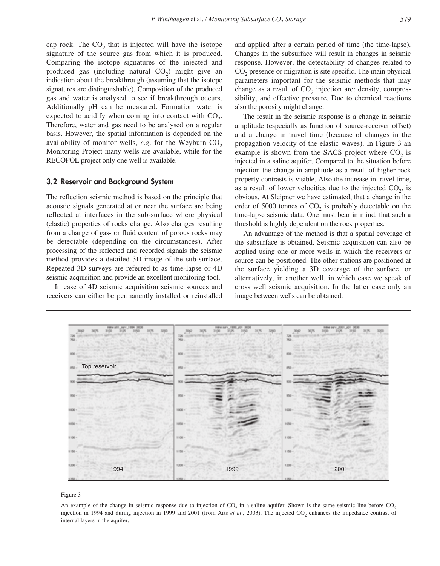cap rock. The  $CO<sub>2</sub>$  that is injected will have the isotope signature of the source gas from which it is produced. Comparing the isotope signatures of the injected and produced gas (including natural  $CO<sub>2</sub>$ ) might give an indication about the breakthrough (assuming that the isotope signatures are distinguishable). Composition of the produced gas and water is analysed to see if breakthrough occurs. Additionally pH can be measured. Formation water is expected to acidify when coming into contact with  $CO<sub>2</sub>$ . Therefore, water and gas need to be analysed on a regular basis. However, the spatial information is depended on the availability of monitor wells,  $e.g.$  for the Weyburn  $CO<sub>2</sub>$ Monitoring Project many wells are available, while for the RECOPOL project only one well is available.

#### **3.2 Reservoir and Background System**

The reflection seismic method is based on the principle that acoustic signals generated at or near the surface are being reflected at interfaces in the sub-surface where physical (elastic) properties of rocks change. Also changes resulting from a change of gas- or fluid content of porous rocks may be detectable (depending on the circumstances). After processing of the reflected and recorded signals the seismic method provides a detailed 3D image of the sub-surface. Repeated 3D surveys are referred to as time-lapse or 4D seismic acquisition and provide an excellent monitoring tool.

In case of 4D seismic acquisition seismic sources and receivers can either be permanently installed or reinstalled and applied after a certain period of time (the time-lapse). Changes in the subsurface will result in changes in seismic response. However, the detectability of changes related to CO<sub>2</sub> presence or migration is site specific. The main physical parameters important for the seismic methods that may change as a result of  $CO<sub>2</sub>$  injection are: density, compressibility, and effective pressure. Due to chemical reactions also the porosity might change.

The result in the seismic response is a change in seismic amplitude (especially as function of source-receiver offset) and a change in travel time (because of changes in the propagation velocity of the elastic waves). In Figure 3 an example is shown from the SACS project where  $CO<sub>2</sub>$  is injected in a saline aquifer. Compared to the situation before injection the change in amplitude as a result of higher rock property contrasts is visible. Also the increase in travel time, as a result of lower velocities due to the injected  $CO<sub>2</sub>$ , is obvious. At Sleipner we have estimated, that a change in the order of 5000 tonnes of  $CO<sub>2</sub>$  is probably detectable on the time-lapse seismic data. One must bear in mind, that such a threshold is highly dependent on the rock properties.

An advantage of the method is that a spatial coverage of the subsurface is obtained. Seismic acquisition can also be applied using one or more wells in which the receivers or source can be positioned. The other stations are positioned at the surface yielding a 3D coverage of the surface, or alternatively, in another well, in which case we speak of cross well seismic acquisition. In the latter case only an image between wells can be obtained.



#### Figure 3

An example of the change in seismic response due to injection of  $CO$ , in a saline aquifer. Shown is the same seismic line before  $CO$ , injection in 1994 and during injection in 1999 and 2001 (from Arts *et al.*, 2003). The injected CO<sub>2</sub> enhances the impedance contrast of internal layers in the aquifer.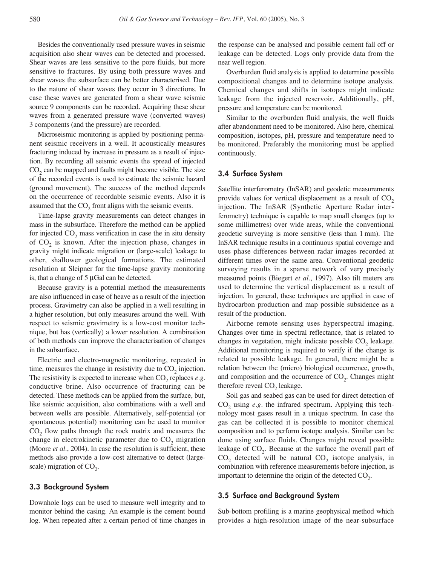Besides the conventionally used pressure waves in seismic acquisition also shear waves can be detected and processed. Shear waves are less sensitive to the pore fluids, but more sensitive to fractures. By using both pressure waves and shear waves the subsurface can be better characterised. Due to the nature of shear waves they occur in 3 directions. In case these waves are generated from a shear wave seismic source 9 components can be recorded. Acquiring these shear waves from a generated pressure wave (converted waves) 3 components (and the pressure) are recorded.

Microseismic monitoring is applied by positioning permanent seismic receivers in a well. It acoustically measures fracturing induced by increase in pressure as a result of injection. By recording all seismic events the spread of injected  $CO<sub>2</sub>$  can be mapped and faults might become visible. The size of the recorded events is used to estimate the seismic hazard (ground movement). The success of the method depends on the occurrence of recordable seismic events. Also it is assumed that the  $CO<sub>2</sub>$  front aligns with the seismic events.

Time-lapse gravity measurements can detect changes in mass in the subsurface. Therefore the method can be applied for injected  $CO<sub>2</sub>$  mass verification in case the in situ density of  $CO<sub>2</sub>$  is known. After the injection phase, changes in gravity might indicate migration or (large-scale) leakage to other, shallower geological formations. The estimated resolution at Sleipner for the time-lapse gravity monitoring is, that a change of 5 µGal can be detected.

Because gravity is a potential method the measurements are also influenced in case of heave as a result of the injection process. Gravimetry can also be applied in a well resulting in a higher resolution, but only measures around the well. With respect to seismic gravimetry is a low-cost monitor technique, but has (vertically) a lower resolution. A combination of both methods can improve the characterisation of changes in the subsurface.

Electric and electro-magnetic monitoring, repeated in time, measures the change in resistivity due to  $CO<sub>2</sub>$  injection. The resistivity is expected to increase when  $CO<sub>2</sub>$  replaces *e.g.* conductive brine. Also occurrence of fracturing can be detected. These methods can be applied from the surface, but, like seismic acquisition, also combinations with a well and between wells are possible. Alternatively, self-potential (or spontaneous potential) monitoring can be used to monitor CO<sub>2</sub> flow paths through the rock matrix and measures the change in electrokinetic parameter due to  $CO<sub>2</sub>$  migration (Moore *et al.*, 2004). In case the resolution is sufficient, these methods also provide a low-cost alternative to detect (largescale) migration of  $CO<sub>2</sub>$ .

## **3.3 Background System**

Downhole logs can be used to measure well integrity and to monitor behind the casing. An example is the cement bound log. When repeated after a certain period of time changes in

the response can be analysed and possible cement fall off or leakage can be detected. Logs only provide data from the near well region.

Overburden fluid analysis is applied to determine possible compositional changes and to determine isotope analysis. Chemical changes and shifts in isotopes might indicate leakage from the injected reservoir. Additionally, pH, pressure and temperature can be monitored.

Similar to the overburden fluid analysis, the well fluids after abandonment need to be monitored. Also here, chemical composition, isotopes, pH, pressure and temperature need to be monitored. Preferably the monitoring must be applied continuously.

## **3.4 Surface System**

Satellite interferometry (InSAR) and geodetic measurements provide values for vertical displacement as a result of  $CO<sub>2</sub>$ injection. The InSAR (Synthetic Aperture Radar interferometry) technique is capable to map small changes (up to some millimetres) over wide areas, while the conventional geodetic surveying is more sensitive (less than 1 mm). The InSAR technique results in a continuous spatial coverage and uses phase differences between radar images recorded at different times over the same area. Conventional geodetic surveying results in a sparse network of very precisely measured points (Biegert *et al.*, 1997). Also tilt meters are used to determine the vertical displacement as a result of injection. In general, these techniques are applied in case of hydrocarbon production and map possible subsidence as a result of the production.

Airborne remote sensing uses hyperspectral imaging. Changes over time in spectral reflectance, that is related to changes in vegetation, might indicate possible  $CO<sub>2</sub>$  leakage. Additional monitoring is required to verify if the change is related to possible leakage. In general, there might be a relation between the (micro) biological occurrence, growth, and composition and the occurrence of  $CO<sub>2</sub>$ . Changes might therefore reveal  $CO<sub>2</sub>$  leakage.

Soil gas and seabed gas can be used for direct detection of  $CO<sub>2</sub>$  using  $e.g.$  the infrared spectrum. Applying this technology most gases result in a unique spectrum. In case the gas can be collected it is possible to monitor chemical composition and to perform isotope analysis. Similar can be done using surface fluids. Changes might reveal possible leakage of  $CO<sub>2</sub>$ . Because at the surface the overall part of  $CO<sub>2</sub>$  detected will be natural  $CO<sub>2</sub>$  isotope analysis, in combination with reference measurements before injection, is important to determine the origin of the detected  $CO<sub>2</sub>$ .

#### **3.5 Surface and Background System**

Sub-bottom profiling is a marine geophysical method which provides a high-resolution image of the near-subsurface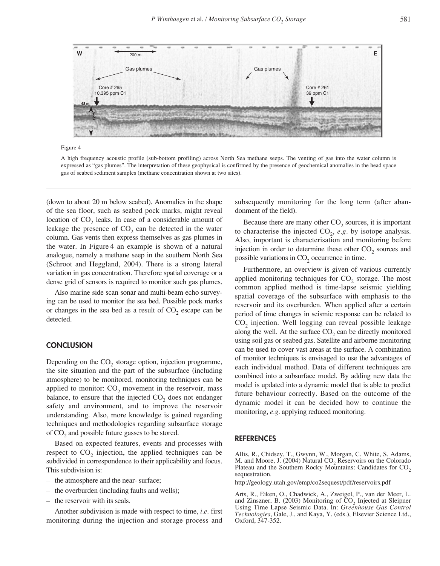

Figure 4

A high frequency acoustic profile (sub-bottom profiling) across North Sea methane seeps. The venting of gas into the water column is expressed as "gas plumes". The interpretation of these geophysical is confirmed by the presence of geochemical anomalies in the head space gas of seabed sediment samples (methane concentration shown at two sites).

(down to about 20 m below seabed). Anomalies in the shape of the sea floor, such as seabed pock marks, might reveal location of CO<sub>2</sub> leaks. In case of a considerable amount of leakage the presence of  $CO<sub>2</sub>$  can be detected in the water column. Gas vents then express themselves as gas plumes in the water. In Figure 4 an example is shown of a natural analogue, namely a methane seep in the southern North Sea (Schroot and Heggland, 2004). There is a strong lateral variation in gas concentration. Therefore spatial coverage or a dense grid of sensors is required to monitor such gas plumes.

Also marine side scan sonar and multi-beam echo surveying can be used to monitor the sea bed. Possible pock marks or changes in the sea bed as a result of  $CO<sub>2</sub>$  escape can be detected.

#### **CONCLUSION**

Depending on the  $CO<sub>2</sub>$  storage option, injection programme, the site situation and the part of the subsurface (including atmosphere) to be monitored, monitoring techniques can be applied to monitor:  $CO<sub>2</sub>$  movement in the reservoir, mass balance, to ensure that the injected  $CO<sub>2</sub>$  does not endanger safety and environment, and to improve the reservoir understanding. Also, more knowledge is gained regarding techniques and methodologies regarding subsurface storage of  $CO<sub>2</sub>$  and possible future gasses to be stored.

Based on expected features, events and processes with respect to  $CO<sub>2</sub>$  injection, the applied techniques can be subdivided in correspondence to their applicability and focus. This subdivision is:

- the atmosphere and the near- surface;
- the overburden (including faults and wells);
- the reservoir with its seals.

Another subdivision is made with respect to time, *i.e.* first monitoring during the injection and storage process and subsequently monitoring for the long term (after abandonment of the field).

Because there are many other  $CO<sub>2</sub>$  sources, it is important to characterise the injected  $CO<sub>2</sub>$ , *e.g.* by isotope analysis. Also, important is characterisation and monitoring before injection in order to determine these other  $CO<sub>2</sub>$  sources and possible variations in  $CO<sub>2</sub>$  occurrence in time.

Furthermore, an overview is given of various currently applied monitoring techniques for  $CO<sub>2</sub>$  storage. The most common applied method is time-lapse seismic yielding spatial coverage of the subsurface with emphasis to the reservoir and its overburden. When applied after a certain period of time changes in seismic response can be related to CO<sub>2</sub> injection. Well logging can reveal possible leakage along the well. At the surface  $CO<sub>2</sub>$  can be directly monitored using soil gas or seabed gas. Satellite and airborne monitoring can be used to cover vast areas at the surface. A combination of monitor techniques is envisaged to use the advantages of each individual method. Data of different techniques are combined into a subsurface model. By adding new data the model is updated into a dynamic model that is able to predict future behaviour correctly. Based on the outcome of the dynamic model it can be decided how to continue the monitoring, *e.g.* applying reduced monitoring.

#### **REFERENCES**

Allis, R., Chidsey, T., Gwynn, W., Morgan, C. White, S. Adams, M. and Moore, J. (2004) Natural  $CO<sub>2</sub>$  Reservoirs on the Colorado Plateau and the Southern Rocky Mountains: Candidates for  $CO_2$  sequestration.

http://geology.utah.gov/emp/co2sequest/pdf/reservoirs.pdf

Arts, R., Eiken, O., Chadwick, A., Zweigel, P., van der Meer, L. and Zinszner, B.  $(2003)$  Monitoring of  $CO<sub>2</sub>$  Injected at Sleipner Using Time Lapse Seismic Data. In: *Greenhouse Gas Control Technologies*, Gale, J., and Kaya, Y. (eds.), Elsevier Science Ltd., Oxford, 347-352.